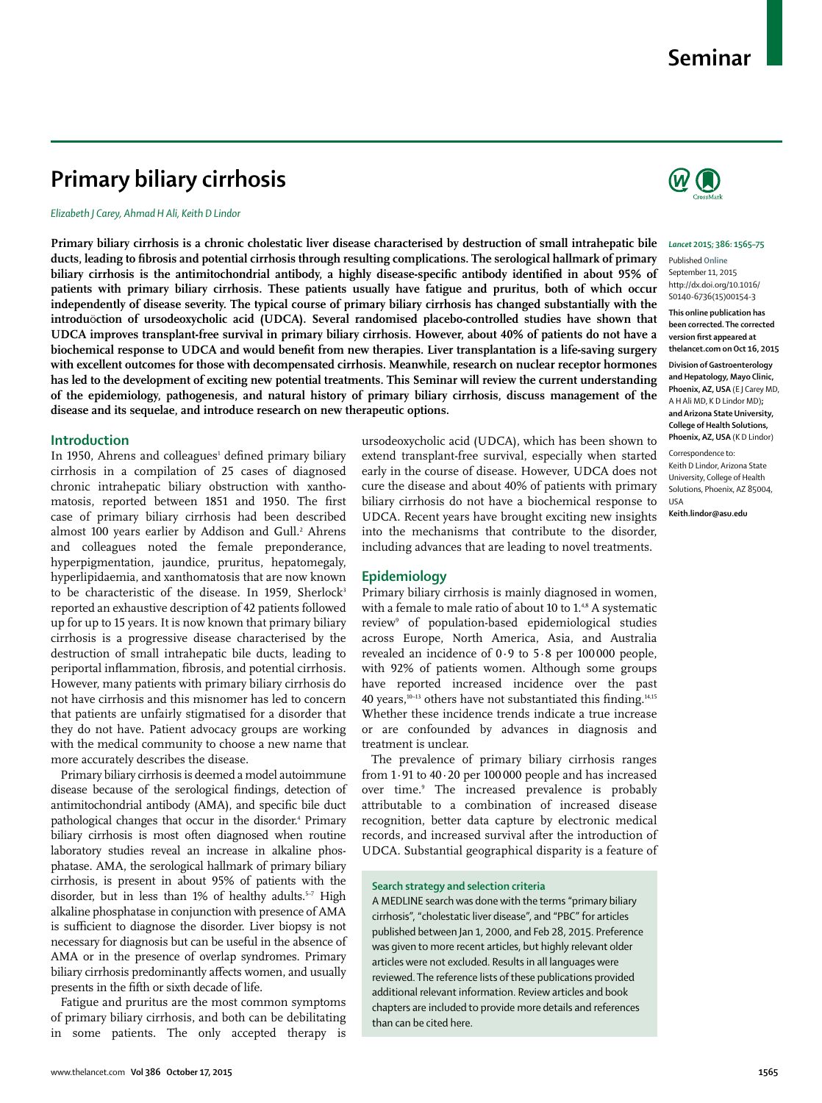# **Primary biliary cirrhosis**

#### *Elizabeth J Carey, Ahmad H Ali, Keith D Lindor*

**Primary biliary cirrhosis is a chronic cholestatic liver disease characterised by destruction of small intrahepatic bile**  ducts, leading to fibrosis and potential cirrhosis through resulting complications. The serological hallmark of primary biliary cirrhosis is the antimitochondrial antibody, a highly disease-specific antibody identified in about 95% of **patients with primary biliary cirrhosis. These patients usually have fatigue and pruritus, both of which occur independently of disease severity. The typical course of primary biliary cirrhosis has changed substantially with the introdu**ö**ction of ursodeoxycholic acid (UDCA). Several randomised placebo-controlled studies have shown that UDCA improves transplant-free survival in primary biliary cirrhosis. However, about 40% of patients do not have a**  biochemical response to UDCA and would benefit from new therapies. Liver transplantation is a life-saving surgery **with excellent outcomes for those with decompensated cirrhosis. Meanwhile, research on nuclear receptor hormones has led to the development of exciting new potential treatments. This Seminar will review the current understanding of the epidemiology, pathogenesis, and natural history of primary biliary cirrhosis, discuss management of the disease and its sequelae, and introduce research on new therapeutic options.**

#### **Introduction**

In 1950, Ahrens and colleagues<sup>1</sup> defined primary biliary cirrhosis in a compilation of 25 cases of diagnosed chronic intrahepatic biliary obstruction with xanthomatosis, reported between 1851 and 1950. The first case of primary biliary cirrhosis had been described almost 100 years earlier by Addison and Gull.<sup>2</sup> Ahrens and colleagues noted the female preponderance, hyper pigmentation, jaundice, pruritus, hepatomegaly, hyperlipidaemia, and xanthomatosis that are now known to be characteristic of the disease. In 1959, Sherlock<sup>3</sup> reported an exhaustive description of 42 patients followed up for up to 15 years. It is now known that primary biliary cirrhosis is a progressive disease characterised by the destruction of small intrahepatic bile ducts, leading to periportal inflammation, fibrosis, and potential cirrhosis. However, many patients with primary biliary cirrhosis do not have cirrhosis and this misnomer has led to concern that patients are unfairly stigmatised for a disorder that they do not have. Patient advocacy groups are working with the medical community to choose a new name that more accurately describes the disease.

Primary biliary cirrhosis is deemed a model auto immune disease because of the serological findings, detection of antimitochondrial antibody (AMA), and specific bile duct pathological changes that occur in the disorder.4 Primary biliary cirrhosis is most often diagnosed when routine laboratory studies reveal an increase in alkaline phosphatase. AMA, the serological hallmark of primary biliary cirrhosis, is present in about 95% of patients with the disorder, but in less than 1% of healthy adults.<sup>5-7</sup> High alkaline phosphatase in conjunction with presence of AMA is sufficient to diagnose the disorder. Liver biopsy is not necessary for diagnosis but can be useful in the absence of AMA or in the presence of overlap syndromes. Primary biliary cirrhosis predominantly affects women, and usually presents in the fifth or sixth decade of life.

Fatigue and pruritus are the most common symptoms of primary biliary cirrhosis, and both can be debilitating in some patients. The only accepted therapy is ursodeoxycholic acid (UDCA), which has been shown to extend transplant-free survival, especially when started early in the course of disease. However, UDCA does not cure the disease and about 40% of patients with primary biliary cirrhosis do not have a biochemical response to UDCA. Recent years have brought exciting new insights into the mechanisms that contribute to the disorder, including advances that are leading to novel treatments.

## **Epidemiology**

Primary biliary cirrhosis is mainly diagnosed in women, with a female to male ratio of about 10 to 1.<sup>4,8</sup> A systematic review<sup>9</sup> of population-based epidemiological studies across Europe, North America, Asia, and Australia revealed an incidence of 0·9 to 5·8 per 100 000 people, with 92% of patients women. Although some groups have reported increased incidence over the past 40 years, $10-13$  others have not substantiated this finding.<sup>14,15</sup> Whether these incidence trends indicate a true increase or are confounded by advances in diagnosis and treatment is unclear.

The prevalence of primary biliary cirrhosis ranges from 1·91 to 40·20 per 100 000 people and has increased over time.<sup>9</sup> The increased prevalence is probably attributable to a combination of increased disease recognition, better data capture by electronic medical records, and increased survival after the introduction of UDCA. Substantial geographical disparity is a feature of

#### **Search strategy and selection criteria**

A MEDLINE search was done with the terms "primary biliary cirrhosis", "cholestatic liver disease", and "PBC" for articles published between Jan 1, 2000, and Feb 28, 2015. Preference was given to more recent articles, but highly relevant older articles were not excluded. Results in all languages were reviewed. The reference lists of these publications provided additional relevant information. Review articles and book chapters are included to provide more details and references than can be cited here.



#### *Lancet* **2015; 386: 1565–75**

Published **Online** September 11, 2015 http://dx.doi.org/10.1016/ S0140-6736(15)00154-3

**This online publication has been corrected. The corrected version fi rst appeared at thelancet.com on Oct 16, 2015**

**Division of Gastroenterology and Hepatology, Mayo Clinic, Phoenix, AZ, USA** (E J Carey MD, A H Ali MD, K D Lindor MD)**; and Arizona State University, College of Health Solutions, Phoenix, AZ, USA** (K D Lindor)

Correspondence to: Keith D Lindor, Arizona State University, College of Health Solutions, Phoenix, AZ 85004, USA

**Keith.lindor@asu.edu**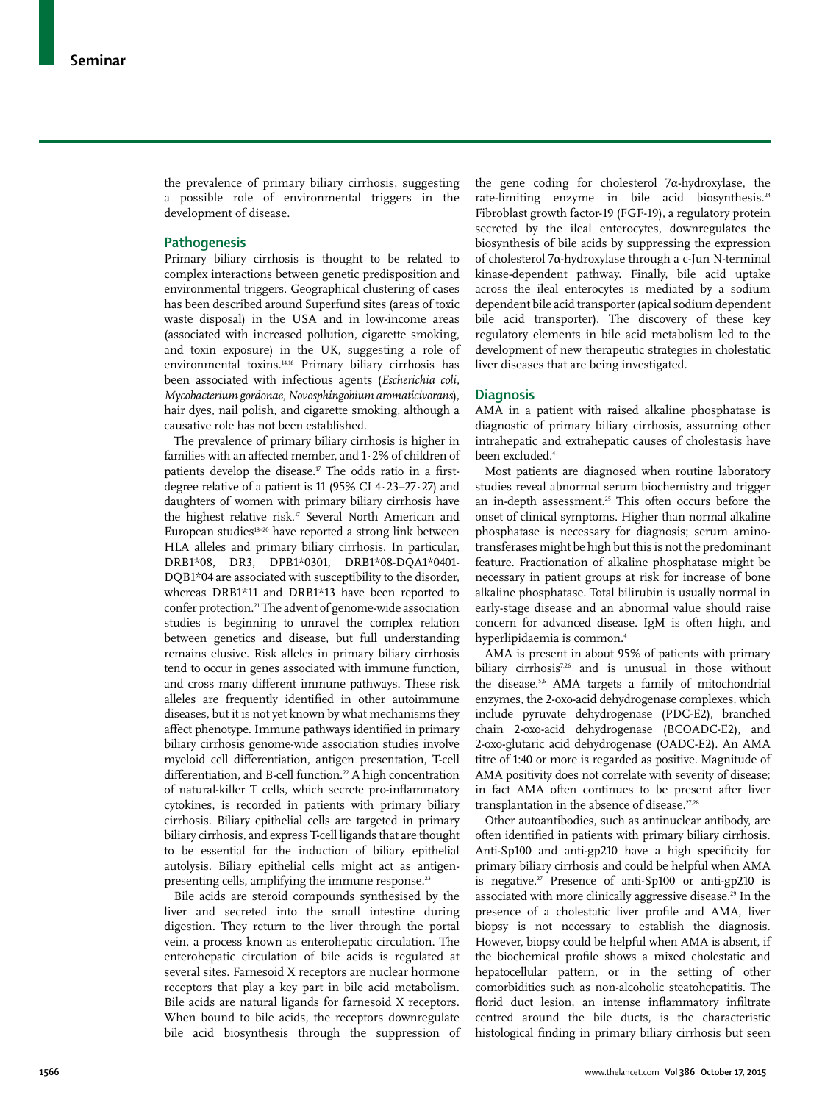the prevalence of primary biliary cirrhosis, suggesting a possible role of environmental triggers in the development of disease.

## **Pathogenesis**

Primary biliary cirrhosis is thought to be related to complex interactions between genetic predisposition and environmental triggers. Geographical clustering of cases has been described around Superfund sites (areas of toxic waste disposal) in the USA and in low-income areas (associated with increased pollution, cigarette smoking, and toxin exposure) in the UK, suggesting a role of environmental toxins.14,16 Primary biliary cirrhosis has been associated with infectious agents (*Escherichia coli, Mycobacterium gordonae, Novosphingobium aromaticivorans*), hair dyes, nail polish, and cigarette smoking, although a causative role has not been established.

The prevalence of primary biliary cirrhosis is higher in families with an affected member, and  $1.2\%$  of children of patients develop the disease.<sup>17</sup> The odds ratio in a firstdegree relative of a patient is 11 (95% CI 4·23–27·27) and daughters of women with primary biliary cirrhosis have the highest relative risk.<sup>17</sup> Several North American and European studies<sup>18-20</sup> have reported a strong link between HLA alleles and primary biliary cirrhosis. In particular, DRB1\*08, DR3, DPB1\*0301, DRB1\*08-DQA1\*0401- DQB1\*04 are associated with susceptibility to the disorder, whereas DRB1\*11 and DRB1\*13 have been reported to confer protection.<sup>21</sup> The advent of genome-wide association studies is beginning to unravel the complex relation between genetics and disease, but full understanding remains elusive. Risk alleles in primary biliary cirrhosis tend to occur in genes associated with immune function, and cross many different immune pathways. These risk alleles are frequently identified in other autoimmune diseases, but it is not yet known by what mechanisms they affect phenotype. Immune pathways identified in primary biliary cirrhosis genome-wide association studies involve myeloid cell differentiation, antigen presentation, T-cell differentiation, and B-cell function.<sup>22</sup> A high concentration of natural-killer T cells, which secrete pro-inflammatory cytokines, is recorded in patients with primary biliary cirrhosis. Biliary epithelial cells are targeted in primary biliary cirrhosis, and express T-cell ligands that are thought to be essential for the induction of biliary epithelial autolysis. Biliary epithelial cells might act as antigenpresenting cells, amplifying the immune response.<sup>23</sup>

Bile acids are steroid compounds synthesised by the liver and secreted into the small intestine during digestion. They return to the liver through the portal vein, a process known as enterohepatic circulation. The enterohepatic circulation of bile acids is regulated at several sites. Farnesoid X receptors are nuclear hormone receptors that play a key part in bile acid metabolism. Bile acids are natural ligands for farnesoid X receptors. When bound to bile acids, the receptors downregulate bile acid biosynthesis through the suppression of

the gene coding for cholesterol 7α-hydroxylase, the rate-limiting enzyme in bile acid biosynthesis.<sup>24</sup> Fibroblast growth factor-19 (FGF-19), a regulatory protein secreted by the ileal enterocytes, downregulates the biosynthesis of bile acids by suppressing the expression of cholesterol 7α-hydroxylase through a c-Jun N-terminal kinase-dependent pathway. Finally, bile acid uptake across the ileal enterocytes is mediated by a sodium dependent bile acid transporter (apical sodium dependent bile acid transporter). The discovery of these key regulatory elements in bile acid metabolism led to the development of new therapeutic strategies in cholestatic liver diseases that are being investigated.

## **Diagnosis**

AMA in a patient with raised alkaline phosphatase is diagnostic of primary biliary cirrhosis, assuming other intrahepatic and extrahepatic causes of cholestasis have been excluded.<sup>4</sup>

Most patients are diagnosed when routine laboratory studies reveal abnormal serum biochemistry and trigger an in-depth assessment.<sup>25</sup> This often occurs before the onset of clinical symptoms. Higher than normal alkaline phosphatase is necessary for diagnosis; serum aminotransferases might be high but this is not the predominant feature. Fractionation of alkaline phosphatase might be necessary in patient groups at risk for increase of bone alkaline phosphatase. Total bilirubin is usually normal in early-stage disease and an abnormal value should raise concern for advanced disease. IgM is often high, and hyperlipidaemia is common.4

AMA is present in about 95% of patients with primary biliary cirrhosis<sup>7,26</sup> and is unusual in those without the disease.<sup>5,6</sup> AMA targets a family of mitochondrial enzymes, the 2-oxo-acid dehydrogenase complexes, which include pyruvate dehydrogenase (PDC-E2), branched chain 2-oxo-acid dehydrogenase (BCOADC-E2), and 2-oxo-glutaric acid dehydrogenase (OADC-E2). An AMA titre of 1:40 or more is regarded as positive. Magnitude of AMA positivity does not correlate with severity of disease; in fact AMA often continues to be present after liver transplantation in the absence of disease.<sup>27,28</sup>

Other autoantibodies, such as antinuclear antibody, are often identified in patients with primary biliary cirrhosis. Anti-Sp100 and anti-gp210 have a high specificity for primary biliary cirrhosis and could be helpful when AMA is negative.<sup> $\sigma$ </sup> Presence of anti-Sp100 or anti-gp210 is associated with more clinically aggressive disease.<sup>29</sup> In the presence of a cholestatic liver profile and AMA, liver biopsy is not necessary to establish the diagnosis. However, biopsy could be helpful when AMA is absent, if the biochemical profile shows a mixed cholestatic and hepatocellular pattern, or in the setting of other comorbidities such as non-alcoholic steatohepatitis. The florid duct lesion, an intense inflammatory infiltrate centred around the bile ducts, is the characteristic histological finding in primary biliary cirrhosis but seen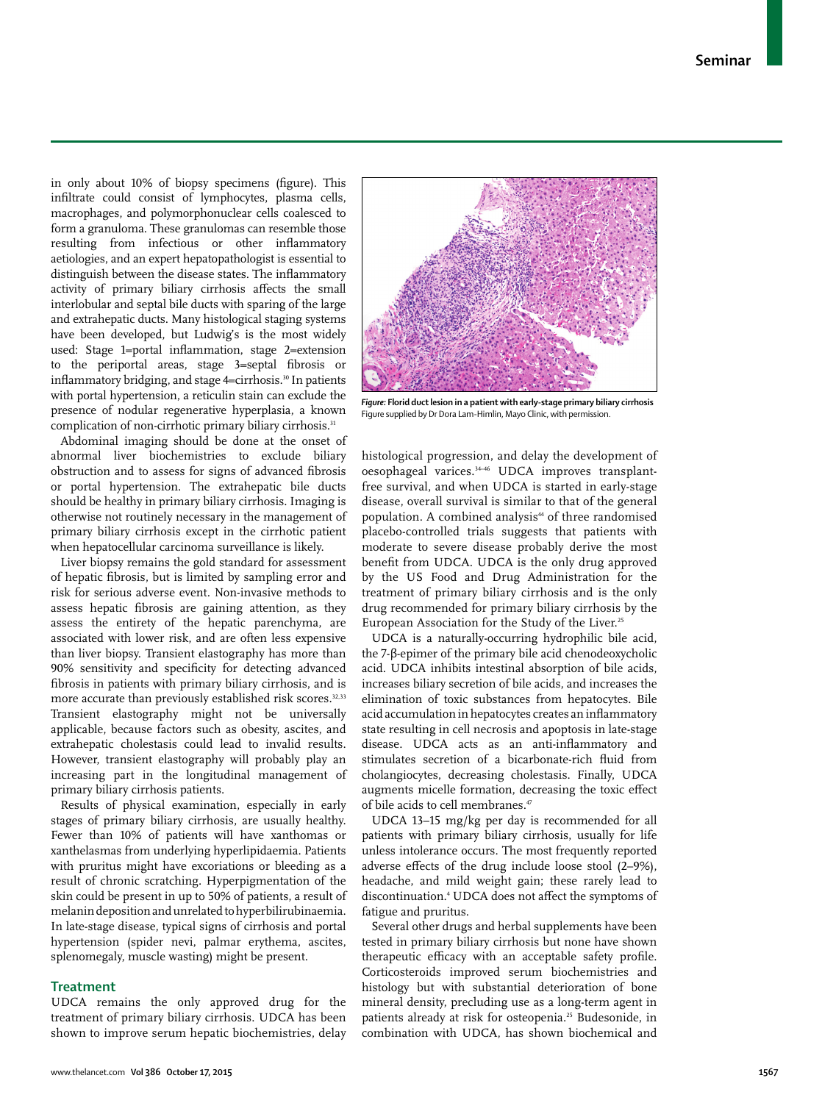in only about 10% of biopsy specimens (figure). This infiltrate could consist of lymphocytes, plasma cells, macrophages, and polymorphonuclear cells coalesced to form a granuloma. These granulomas can resemble those resulting from infectious or other inflammatory aetiologies, and an expert hepatopathologist is essential to distinguish between the disease states. The inflammatory activity of primary biliary cirrhosis affects the small interlobular and septal bile ducts with sparing of the large and extrahepatic ducts. Many histological staging systems have been developed, but Ludwig's is the most widely used: Stage 1=portal inflammation, stage 2=extension to the periportal areas, stage 3=septal fibrosis or inflammatory bridging, and stage 4=cirrhosis.<sup>30</sup> In patients with portal hypertension, a reticulin stain can exclude the presence of nodular regenerative hyperplasia, a known complication of non-cirrhotic primary biliary cirrhosis.<sup>31</sup>

Abdominal imaging should be done at the onset of abnormal liver biochemistries to exclude biliary obstruction and to assess for signs of advanced fibrosis or portal hypertension. The extrahepatic bile ducts should be healthy in primary biliary cirrhosis. Imaging is otherwise not routinely necessary in the management of primary biliary cirrhosis except in the cirrhotic patient when hepatocellular carcinoma surveillance is likely.

Liver biopsy remains the gold standard for assessment of hepatic fibrosis, but is limited by sampling error and risk for serious adverse event. Non-invasive methods to assess hepatic fibrosis are gaining attention, as they assess the entirety of the hepatic parenchyma, are associated with lower risk, and are often less expensive than liver biopsy. Transient elastography has more than 90% sensitivity and specificity for detecting advanced fibrosis in patients with primary biliary cirrhosis, and is more accurate than previously established risk scores.<sup>32,33</sup> Transient elastography might not be universally applicable, because factors such as obesity, ascites, and extrahepatic cholestasis could lead to invalid results. However, transient elastography will probably play an increasing part in the longitudinal management of primary biliary cirrhosis patients.

Results of physical examination, especially in early stages of primary biliary cirrhosis, are usually healthy. Fewer than 10% of patients will have xanthomas or xanthelasmas from underlying hyperlipidaemia. Patients with pruritus might have excoriations or bleeding as a result of chronic scratching. Hyperpigmentation of the skin could be present in up to 50% of patients, a result of melanin deposition and unrelated to hyperbilirubinaemia. In late-stage disease, typical signs of cirrhosis and portal hypertension (spider nevi, palmar erythema, ascites, splenomegaly, muscle wasting) might be present.

## **Treatment**

UDCA remains the only approved drug for the treatment of primary biliary cirrhosis. UDCA has been shown to improve serum hepatic biochemistries, delay



*Figure:* **Florid duct lesion in a patient with early-stage primary biliary cirrhosis** Figure supplied by Dr Dora Lam-Himlin, Mayo Clinic, with permission.

histological progression, and delay the development of oesophageal varices.34–46 UDCA improves transplantfree survival, and when UDCA is started in early-stage disease, overall survival is similar to that of the general population. A combined analysis<sup>44</sup> of three randomised placebo-controlled trials suggests that patients with moderate to severe disease probably derive the most benefit from UDCA. UDCA is the only drug approved by the US Food and Drug Administration for the treatment of primary biliary cirrhosis and is the only drug recommended for primary biliary cirrhosis by the European Association for the Study of the Liver.25

UDCA is a naturally-occurring hydrophilic bile acid, the 7-β-epimer of the primary bile acid chenodeoxycholic acid. UDCA inhibits intestinal absorption of bile acids, increases biliary secretion of bile acids, and increases the elimination of toxic substances from hepatocytes. Bile acid accumulation in hepatocytes creates an inflammatory state resulting in cell necrosis and apoptosis in late-stage disease. UDCA acts as an anti-inflammatory and stimulates secretion of a bicarbonate-rich fluid from cholangiocytes, decreasing cholestasis. Finally, UDCA augments micelle formation, decreasing the toxic effect of bile acids to cell membranes.<sup>47</sup>

UDCA 13–15 mg/kg per day is recommended for all patients with primary biliary cirrhosis, usually for life unless intolerance occurs. The most frequently reported adverse effects of the drug include loose stool  $(2-9%)$ , headache, and mild weight gain; these rarely lead to discontinuation.<sup>4</sup> UDCA does not affect the symptoms of fatigue and pruritus.

Several other drugs and herbal supplements have been tested in primary biliary cirrhosis but none have shown therapeutic efficacy with an acceptable safety profile. Corticosteroids improved serum biochemistries and histology but with substantial deterioration of bone mineral density, precluding use as a long-term agent in patients already at risk for osteopenia.25 Budesonide, in combination with UDCA, has shown biochemical and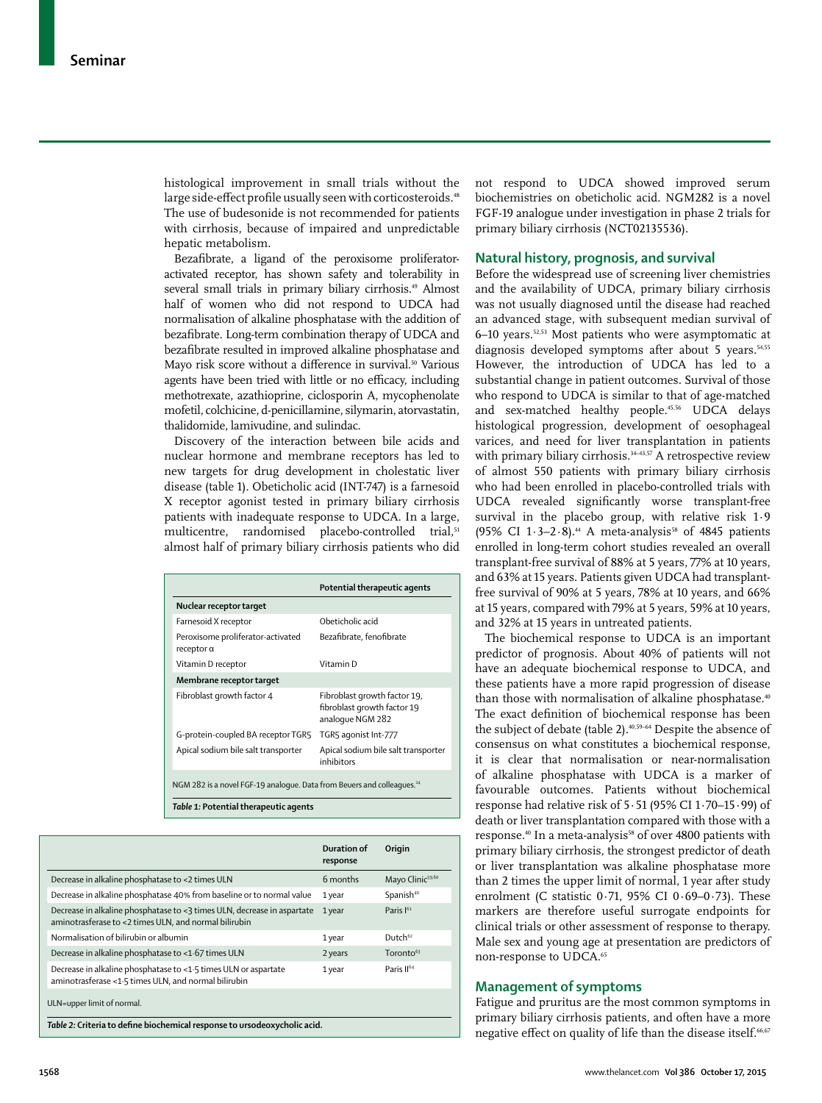histological improvement in small trials without the large side-effect profile usually seen with corticosteroids.<sup>48</sup> The use of budesonide is not recommended for patients with cirrhosis, because of impaired and unpredictable hepatic metabolism.

Bezafibrate, a ligand of the peroxisome proliferatoractivated receptor, has shown safety and tolerability in several small trials in primary biliary cirrhosis.<sup>49</sup> Almost half of women who did not respond to UDCA had normalisation of alkaline phosphatase with the addition of bezafibrate. Long-term combination therapy of UDCA and bezafibrate resulted in improved alkaline phosphatase and Mayo risk score without a difference in survival.<sup>50</sup> Various agents have been tried with little or no efficacy, including methotrexate, azathioprine, ciclosporin A, mycophenolate mofetil, colchicine, d-penicillamine, silymarin, atorvastatin, thalidomide, lamivudine, and sulindac.

Discovery of the interaction between bile acids and nuclear hormone and membrane receptors has led to new targets for drug development in cholestatic liver disease (table 1). Obeticholic acid (INT-747) is a farnesoid X receptor agonist tested in primary biliary cirrhosis patients with inadequate response to UDCA. In a large, multicentre, randomised placebo-controlled trial,<sup>51</sup> almost half of primary biliary cirrhosis patients who did

|                                                                                    | Potential therapeutic agents                                                    |  |
|------------------------------------------------------------------------------------|---------------------------------------------------------------------------------|--|
| Nuclear receptor target                                                            |                                                                                 |  |
| Farnesoid X receptor                                                               | Obeticholic acid                                                                |  |
| Peroxisome proliferator-activated<br>$receptor \alpha$                             | Bezafibrate, fenofibrate                                                        |  |
| Vitamin D receptor                                                                 | Vitamin D                                                                       |  |
| Membrane receptor target                                                           |                                                                                 |  |
| Fibroblast growth factor 4                                                         | Fibroblast growth factor 19,<br>fibroblast growth factor 19<br>analoque NGM 282 |  |
| G-protein-coupled BA receptor TGR5                                                 | TGR5 agonist Int-777                                                            |  |
| Apical sodium bile salt transporter                                                | Apical sodium bile salt transporter<br>inhibitors                               |  |
| NGM 282 is a novel FGF-19 analoque. Data from Beuers and colleagues. <sup>24</sup> |                                                                                 |  |
| Table 1: Potential therapeutic agents                                              |                                                                                 |  |

|                                                                                                                                  | Duration of<br>response | Origin                       |
|----------------------------------------------------------------------------------------------------------------------------------|-------------------------|------------------------------|
| Decrease in alkaline phosphatase to <2 times ULN                                                                                 | 6 months                | Mayo Clinic <sup>59,60</sup> |
| Decrease in alkaline phosphatase 40% from baseline or to normal value                                                            | 1 year                  | Spanish <sup>40</sup>        |
| Decrease in alkaline phosphatase to <3 times ULN, decrease in aspartate<br>aminotrasferase to <2 times ULN, and normal bilirubin | 1 year                  | Paris <sup>161</sup>         |
| Normalisation of bilirubin or albumin                                                                                            | 1 year                  | Dutch <sup>62</sup>          |
| Decrease in alkaline phosphatase to <1.67 times ULN                                                                              | 2 years                 | Toronto <sup>63</sup>        |
| Decrease in alkaline phosphatase to <1.5 times ULN or aspartate<br>aminotrasferase <1.5 times ULN, and normal bilirubin          | 1 year                  | Paris II <sup>64</sup>       |
| ULN=upper limit of normal.                                                                                                       |                         |                              |

not respond to UDCA showed improved serum biochemistries on obeticholic acid. NGM282 is a novel FGF-19 analogue under investigation in phase 2 trials for primary biliary cirrhosis (NCT02135536).

## **Natural history, prognosis, and survival**

Before the widespread use of screening liver chemistries and the availability of UDCA, primary biliary cirrhosis was not usually diagnosed until the disease had reached an advanced stage, with subsequent median survival of 6–10 years.52,53 Most patients who were asymptomatic at diagnosis developed symptoms after about 5 years.<sup>54,55</sup> However, the introduction of UDCA has led to a substantial change in patient outcomes. Survival of those who respond to UDCA is similar to that of age-matched and sex-matched healthy people.45,56 UDCA delays histological progression, development of oesophageal varices, and need for liver transplantation in patients with primary biliary cirrhosis.<sup>34-43,57</sup> A retrospective review of almost 550 patients with primary biliary cirrhosis who had been enrolled in placebo-controlled trials with UDCA revealed significantly worse transplant-free survival in the placebo group, with relative risk 1·9 (95% CI 1 $\cdot$  3-2 $\cdot$ 8).<sup>44</sup> A meta-analysis<sup>58</sup> of 4845 patients enrolled in long-term cohort studies revealed an overall transplant-free survival of 88% at 5 years, 77% at 10 years, and 63% at 15 years. Patients given UDCA had transplantfree survival of 90% at 5 years, 78% at 10 years, and 66% at 15 years, compared with 79% at 5 years, 59% at 10 years, and 32% at 15 years in untreated patients.

The biochemical response to UDCA is an important predictor of prognosis. About 40% of patients will not have an adequate biochemical response to UDCA, and these patients have a more rapid progression of disease than those with normalisation of alkaline phosphatase.<sup>40</sup> The exact definition of biochemical response has been the subject of debate (table 2).<sup>40,59-64</sup> Despite the absence of consensus on what constitutes a biochemical response, it is clear that normalisation or near-normalisation of alkaline phosphatase with UDCA is a marker of favourable outcomes. Patients without biochemical response had relative risk of 5·51 (95% CI 1·70–15·99) of death or liver transplantation compared with those with a response.<sup>40</sup> In a meta-analysis<sup>58</sup> of over 4800 patients with primary biliary cirrhosis, the strongest predictor of death or liver transplantation was alkaline phosphatase more than 2 times the upper limit of normal, 1 year after study enrolment (C statistic  $0.71$ ,  $95\%$  CI  $0.69-0.73$ ). These markers are therefore useful surrogate endpoints for clinical trials or other assessment of response to therapy. Male sex and young age at presentation are predictors of non-response to UDCA.<sup>65</sup>

## **Management of symptoms**

Fatigue and pruritus are the most common symptoms in primary biliary cirrhosis patients, and often have a more negative effect on quality of life than the disease itself.<sup>66,67</sup>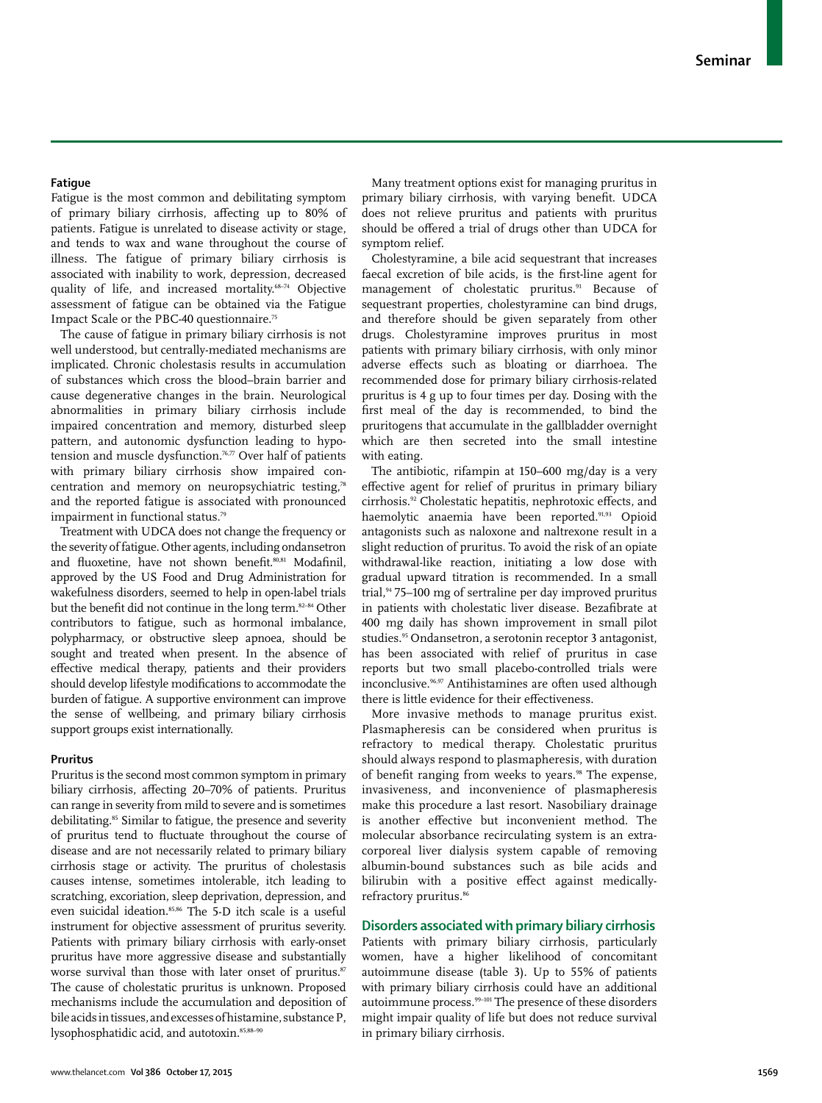## **Fatigue**

Fatigue is the most common and debilitating symptom of primary biliary cirrhosis, affecting up to 80% of patients. Fatigue is unrelated to disease activity or stage, and tends to wax and wane throughout the course of illness. The fatigue of primary biliary cirrhosis is associated with inability to work, depression, decreased quality of life, and increased mortality.68–74 Objective assessment of fatigue can be obtained via the Fatigue Impact Scale or the PBC-40 questionnaire.<sup>75</sup>

The cause of fatigue in primary biliary cirrhosis is not well understood, but centrally-mediated mechanisms are implicated. Chronic cholestasis results in accumulation of substances which cross the blood–brain barrier and cause degenerative changes in the brain. Neurological abnormalities in primary biliary cirrhosis include impaired concentration and memory, disturbed sleep pattern, and autonomic dysfunction leading to hypotension and muscle dysfunction.<sup>76,77</sup> Over half of patients with primary biliary cirrhosis show impaired concentration and memory on neuropsychiatric testing,78 and the reported fatigue is associated with pronounced impairment in functional status.<sup>79</sup>

Treatment with UDCA does not change the frequency or the severity of fatigue. Other agents, including ondansetron and fluoxetine, have not shown benefit.<sup>80,81</sup> Modafinil, approved by the US Food and Drug Administration for wakefulness disorders, seemed to help in open-label trials but the benefit did not continue in the long term.<sup>82-84</sup> Other contributors to fatigue, such as hormonal imbalance, polypharmacy, or obstructive sleep apnoea, should be sought and treated when present. In the absence of effective medical therapy, patients and their providers should develop lifestyle modifications to accommodate the burden of fatigue. A supportive environment can improve the sense of wellbeing, and primary biliary cirrhosis support groups exist internationally.

#### **Pruritus**

Pruritus is the second most common symptom in primary biliary cirrhosis, affecting 20-70% of patients. Pruritus can range in severity from mild to severe and is sometimes debilitating.<sup>85</sup> Similar to fatigue, the presence and severity of pruritus tend to fluctuate throughout the course of disease and are not necessarily related to primary biliary cirrhosis stage or activity. The pruritus of cholestasis causes intense, sometimes intolerable, itch leading to scratching, excoriation, sleep deprivation, depression, and even suicidal ideation.85,86 The 5-D itch scale is a useful instrument for objective assessment of pruritus severity. Patients with primary biliary cirrhosis with early-onset pruritus have more aggressive disease and substantially worse survival than those with later onset of pruritus. $\frac{1}{s}$ The cause of cholestatic pruritus is unknown. Proposed mechanisms include the accumulation and deposition of bile acids in tissues, and excesses of histamine, substance P, lysophosphatidic acid, and autotoxin.85,88–90

Many treatment options exist for managing pruritus in primary biliary cirrhosis, with varying benefit. UDCA does not relieve pruritus and patients with pruritus should be offered a trial of drugs other than UDCA for symptom relief.

Cholestyramine, a bile acid sequestrant that increases faecal excretion of bile acids, is the first-line agent for management of cholestatic pruritus.<sup>91</sup> Because of sequestrant properties, cholestyramine can bind drugs, and therefore should be given separately from other drugs. Cholestyramine improves pruritus in most patients with primary biliary cirrhosis, with only minor adverse effects such as bloating or diarrhoea. The recommended dose for primary biliary cirrhosis-related pruritus is 4 g up to four times per day. Dosing with the first meal of the day is recommended, to bind the pruritogens that accumulate in the gallbladder overnight which are then secreted into the small intestine with eating.

The antibiotic, rifampin at 150–600 mg/day is a very effective agent for relief of pruritus in primary biliary cirrhosis.<sup>92</sup> Cholestatic hepatitis, nephrotoxic effects, and haemolytic anaemia have been reported.<sup>91,93</sup> Opioid antagonists such as naloxone and naltrexone result in a slight reduction of pruritus. To avoid the risk of an opiate withdrawal-like reaction, initiating a low dose with gradual upward titration is recommended. In a small trial,<sup>94</sup> 75–100 mg of sertraline per day improved pruritus in patients with cholestatic liver disease. Bezafibrate at 400 mg daily has shown improvement in small pilot studies.95 Ondansetron, a serotonin receptor 3 antagonist, has been associated with relief of pruritus in case reports but two small placebo-controlled trials were inconclusive.<sup>96,97</sup> Antihistamines are often used although there is little evidence for their effectiveness.

More invasive methods to manage pruritus exist. Plasmapheresis can be considered when pruritus is refractory to medical therapy. Cholestatic pruritus should always respond to plasmapheresis, with duration of benefit ranging from weeks to years.<sup>98</sup> The expense, invasiveness, and inconvenience of plasmapheresis make this procedure a last resort. Nasobiliary drainage is another effective but inconvenient method. The molecular absorbance recirculating system is an extracorporeal liver dialysis system capable of removing albumin-bound substances such as bile acids and bilirubin with a positive effect against medicallyrefractory pruritus.<sup>86</sup>

## **Disorders associated with primary biliary cirrhosis**

Patients with primary biliary cirrhosis, particularly women, have a higher likelihood of concomitant autoimmune disease (table 3). Up to 55% of patients with primary biliary cirrhosis could have an additional autoimmune process.<sup>99-101</sup> The presence of these disorders might impair quality of life but does not reduce survival in primary biliary cirrhosis.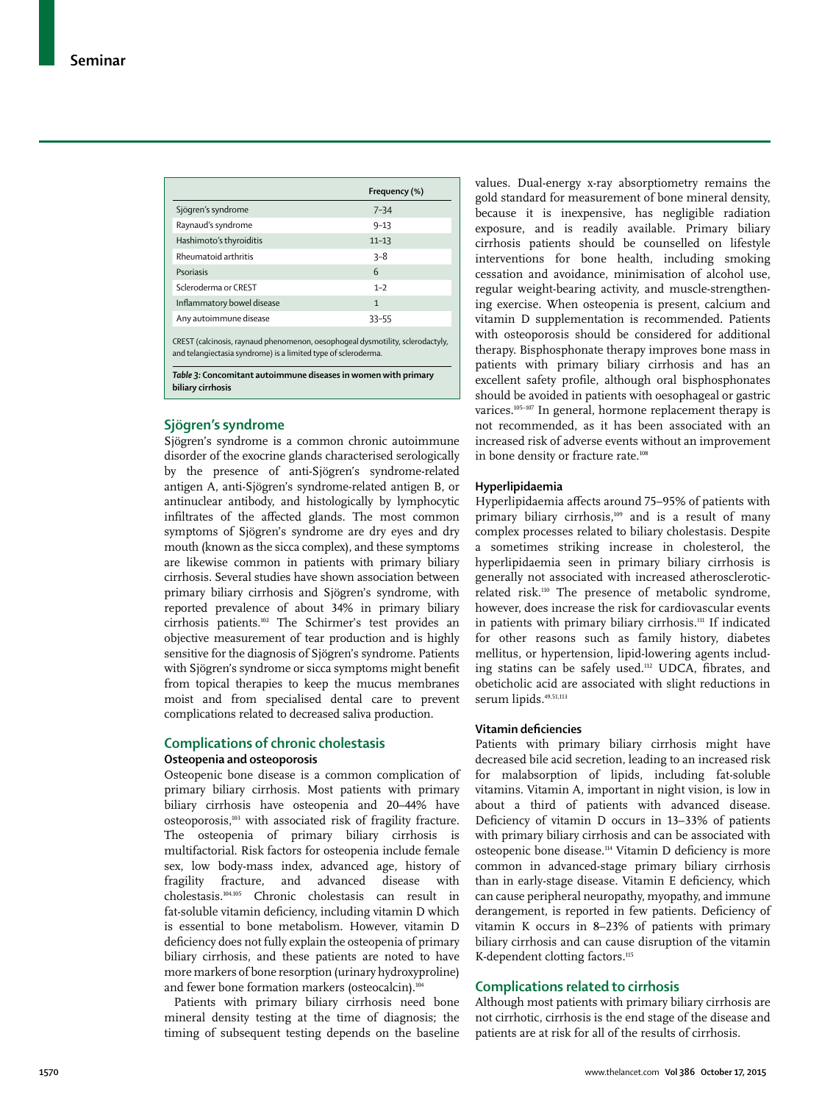|                                                                                                                                                  | Frequency (%) |  |
|--------------------------------------------------------------------------------------------------------------------------------------------------|---------------|--|
| Sjögren's syndrome                                                                                                                               | $7 - 34$      |  |
| Raynaud's syndrome                                                                                                                               | $9 - 13$      |  |
| Hashimoto's thyroiditis                                                                                                                          | $11 - 13$     |  |
| Rheumatoid arthritis                                                                                                                             | $3 - 8$       |  |
| Psoriasis                                                                                                                                        | 6             |  |
| Scleroderma or CREST                                                                                                                             | $1 - 2$       |  |
| Inflammatory bowel disease                                                                                                                       | $\mathbf{1}$  |  |
| Any autoimmune disease                                                                                                                           | $33 - 55$     |  |
| CREST (calcinosis, raynaud phenomenon, oesophogeal dysmotility, sclerodactyly,<br>and telangiectasia syndrome) is a limited type of scleroderma. |               |  |

*Table 3:* **Concomitant autoimmune diseases in women with primary biliary cirrhosis**

## **Sjögren's syndrome**

Sjögren's syndrome is a common chronic autoimmune disorder of the exocrine glands characterised serologically by the presence of anti-Sjögren's syndrome-related antigen A, anti-Sjögren's syndrome-related antigen B, or antinuclear antibody, and histologically by lymphocytic infiltrates of the affected glands. The most common symptoms of Sjögren's syndrome are dry eyes and dry mouth (known as the sicca complex), and these symptoms are likewise common in patients with primary biliary cirrhosis. Several studies have shown association between primary biliary cirrhosis and Sjögren's syndrome, with reported prevalence of about 34% in primary biliary cirrhosis patients.102 The Schirmer's test provides an objective measurement of tear production and is highly sensitive for the diagnosis of Sjögren's syndrome. Patients with Sjögren's syndrome or sicca symptoms might benefit from topical therapies to keep the mucus membranes moist and from specialised dental care to prevent complications related to decreased saliva production.

## **Complications of chronic cholestasis Osteopenia and osteoporosis**

Osteopenic bone disease is a common complication of primary biliary cirrhosis. Most patients with primary biliary cirrhosis have osteopenia and 20–44% have osteoporosis,103 with associated risk of fragility fracture. The osteopenia of primary biliary cirrhosis is multifactorial. Risk factors for osteopenia include female sex, low body-mass index, advanced age, history of fragility fracture, and advanced disease with cholestasis.104,105 Chronic cholestasis can result in fat-soluble vitamin deficiency, including vitamin D which is essential to bone metabolism. However, vitamin D deficiency does not fully explain the osteopenia of primary biliary cirrhosis, and these patients are noted to have more markers of bone resorption (urinary hydroxyproline) and fewer bone formation markers (osteocalcin).104

Patients with primary biliary cirrhosis need bone mineral density testing at the time of diagnosis; the timing of subsequent testing depends on the baseline values. Dual-energy x-ray absorptiometry remains the gold standard for measurement of bone mineral density, because it is inexpensive, has negligible radiation exposure, and is readily available. Primary biliary cirrhosis patients should be counselled on lifestyle interventions for bone health, including smoking cessation and avoidance, minimisation of alcohol use, regular weight-bearing activity, and muscle-strengthening exercise. When osteopenia is present, calcium and vitamin D supplementation is recommended. Patients with osteoporosis should be considered for additional therapy. Bisphosphonate therapy improves bone mass in patients with primary biliary cirrhosis and has an excellent safety profile, although oral bisphosphonates should be avoided in patients with oesophageal or gastric varices.<sup>105–107</sup> In general, hormone replacement therapy is not recom mended, as it has been associated with an increased risk of adverse events without an improvement in bone density or fracture rate.<sup>108</sup>

## **Hyperlipidaemia**

Hyperlipidaemia affects around 75-95% of patients with primary biliary cirrhosis,<sup>109</sup> and is a result of many complex processes related to biliary cholestasis. Despite a sometimes striking increase in cholesterol, the hyperlipidaemia seen in primary biliary cirrhosis is generally not associated with increased atheroscleroticrelated risk.110 The presence of metabolic syndrome, however, does increase the risk for cardiovascular events in patients with primary biliary cirrhosis.<sup>111</sup> If indicated for other reasons such as family history, diabetes mellitus, or hypertension, lipid-lowering agents including statins can be safely used.<sup>112</sup> UDCA, fibrates, and obeticholic acid are associated with slight reductions in serum lipids.<sup>49,51,113</sup>

## **Vitamin defi ciencies**

Patients with primary biliary cirrhosis might have decreased bile acid secretion, leading to an increased risk for malabsorption of lipids, including fat-soluble vitamins. Vitamin A, important in night vision, is low in about a third of patients with advanced disease. Deficiency of vitamin D occurs in 13-33% of patients with primary biliary cirrhosis and can be associated with osteopenic bone disease.<sup>114</sup> Vitamin D deficiency is more common in advanced-stage primary biliary cirrhosis than in early-stage disease. Vitamin E deficiency, which can cause peripheral neuropathy, myopathy, and immune derangement, is reported in few patients. Deficiency of vitamin K occurs in 8–23% of patients with primary biliary cirrhosis and can cause disruption of the vitamin K-dependent clotting factors.<sup>115</sup>

## **Complications related to cirrhosis**

Although most patients with primary biliary cirrhosis are not cirrhotic, cirrhosis is the end stage of the disease and patients are at risk for all of the results of cirrhosis.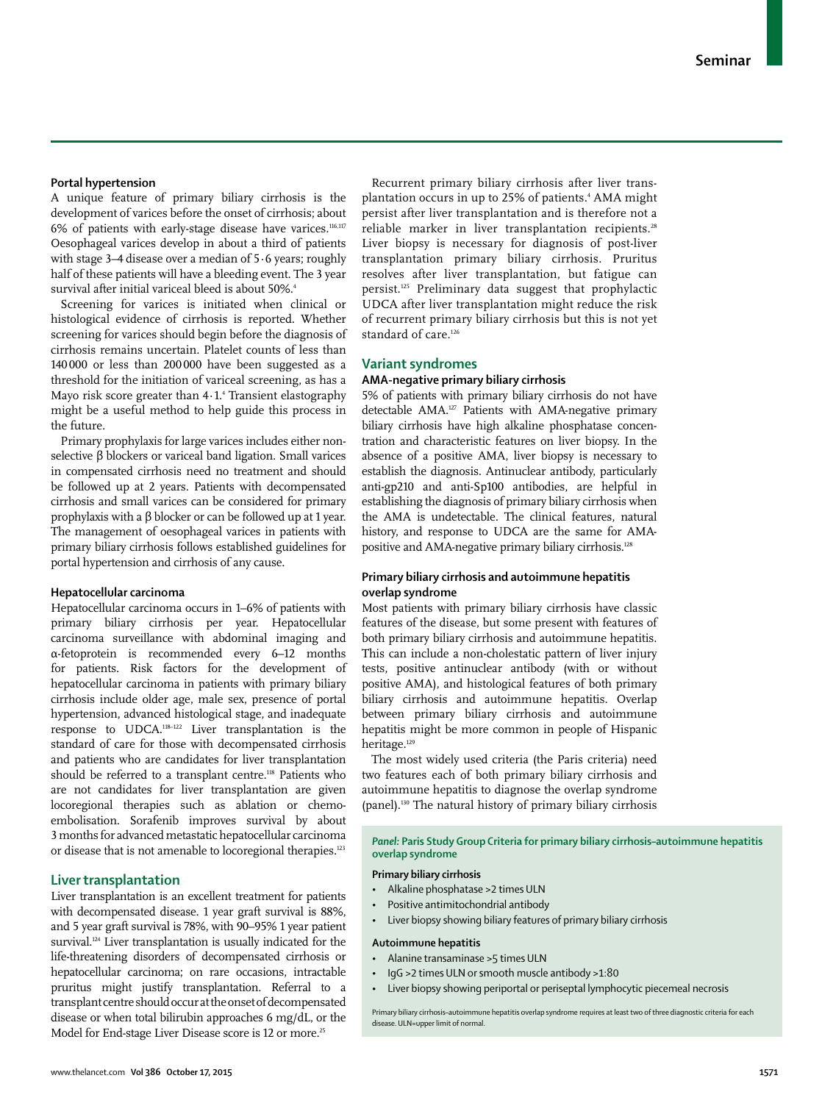Primary biliary cirrhosis–autoimmune hepatitis overlap syndrome requires at least two of three diagnostic criteria for each disease. ULN=upper limit of normal.

## **Portal hypertension**

A unique feature of primary biliary cirrhosis is the development of varices before the onset of cirrhosis; about 6% of patients with early-stage disease have varices.<sup>116,117</sup> Oesophageal varices develop in about a third of patients with stage 3–4 disease over a median of 5·6 years; roughly half of these patients will have a bleeding event. The 3 year survival after initial variceal bleed is about 50%.<sup>4</sup>

Screening for varices is initiated when clinical or histological evidence of cirrhosis is reported. Whether screening for varices should begin before the diagnosis of cirrhosis remains uncertain. Platelet counts of less than 140 000 or less than 200 000 have been suggested as a threshold for the initiation of variceal screening, as has a Mayo risk score greater than 4·1.4 Transient elastography might be a useful method to help guide this process in the future.

Primary prophylaxis for large varices includes either nonselective β blockers or variceal band ligation. Small varices in compensated cirrhosis need no treatment and should be followed up at 2 years. Patients with decompensated cirrhosis and small varices can be considered for primary prophylaxis with a β blocker or can be followed up at 1 year. The management of oesophageal varices in patients with primary biliary cirrhosis follows established guidelines for portal hypertension and cirrhosis of any cause.

## **Hepatocellular carcinoma**

Hepatocellular carcinoma occurs in 1–6% of patients with primary biliary cirrhosis per year. Hepatocellular carcinoma surveillance with abdominal imaging and α-fetoprotein is recommended every 6–12 months for patients. Risk factors for the development of hepatocellular carcinoma in patients with primary biliary cirrhosis include older age, male sex, presence of portal hypertension, advanced histological stage, and inadequate response to UDCA.118–122 Liver transplantation is the standard of care for those with decompensated cirrhosis and patients who are candidates for liver transplantation should be referred to a transplant centre.<sup>118</sup> Patients who are not candidates for liver transplantation are given locoregional therapies such as ablation or chemoembolisation. Sorafenib improves survival by about 3 months for advanced metastatic hepatocellular carcinoma or disease that is not amenable to locoregional therapies.<sup>123</sup>

## **Liver transplantation**

Liver transplantation is an excellent treatment for patients with decompensated disease. 1 year graft survival is 88%, and 5 year graft survival is 78%, with 90–95% 1 year patient survival.<sup>124</sup> Liver transplantation is usually indicated for the life-threatening disorders of decompensated cirrhosis or hepatocellular carcinoma; on rare occasions, intractable pruritus might justify transplantation. Referral to a transplant centre should occur at the onset of decompensated disease or when total bilirubin approaches 6 mg/dL, or the Model for End-stage Liver Disease score is 12 or more.<sup>25</sup>

Recurrent primary biliary cirrhosis after liver transplantation occurs in up to 25% of patients.<sup>4</sup> AMA might persist after liver transplantation and is therefore not a reliable marker in liver transplantation recipients.<sup>28</sup> Liver biopsy is necessary for diagnosis of post-liver transplantation primary biliary cirrhosis. Pruritus resolves after liver transplantation, but fatigue can persist.125 Preliminary data suggest that prophylactic UDCA after liver transplantation might reduce the risk of recurrent primary biliary cirrhosis but this is not yet standard of care.<sup>126</sup>

## **Variant syndromes**

## **AMA-negative primary biliary cirrhosis**

5% of patients with primary biliary cirrhosis do not have detectable AMA.<sup>127</sup> Patients with AMA-negative primary biliary cirrhosis have high alkaline phosphatase concentration and characteristic features on liver biopsy. In the absence of a positive AMA, liver biopsy is necessary to establish the diagnosis. Antinuclear antibody, particularly anti-gp210 and anti-Sp100 antibodies, are helpful in establishing the diagnosis of primary biliary cirrhosis when the AMA is undetectable. The clinical features, natural history, and response to UDCA are the same for AMApositive and AMA-negative primary biliary cirrhosis.128

## **Primary biliary cirrhosis and autoimmune hepatitis overlap syndrome**

Most patients with primary biliary cirrhosis have classic features of the disease, but some present with features of both primary biliary cirrhosis and autoimmune hepatitis. This can include a non-cholestatic pattern of liver injury tests, positive antinuclear antibody (with or without positive AMA), and histological features of both primary biliary cirrhosis and autoimmune hepatitis. Overlap between primary biliary cirrhosis and autoimmune hepatitis might be more common in people of Hispanic heritage.129

The most widely used criteria (the Paris criteria) need two features each of both primary biliary cirrhosis and autoimmune hepatitis to diagnose the overlap syndrome (panel).130 The natural history of primary biliary cirrhosis

#### *Panel:* **Paris Study Group Criteria for primary biliary cirrhosis–autoimmune hepatitis overlap syndrome**

#### **Primary biliary cirrhosis**

• Alkaline phosphatase >2 times ULN

- Positive antimitochondrial antibody
- Liver biopsy showing biliary features of primary biliary cirrhosis

#### **Autoimmune hepatitis**

- Alanine transaminase >5 times ULN
- IgG >2 times ULN or smooth muscle antibody >1:80
- Liver biopsy showing periportal or periseptal lymphocytic piecemeal necrosis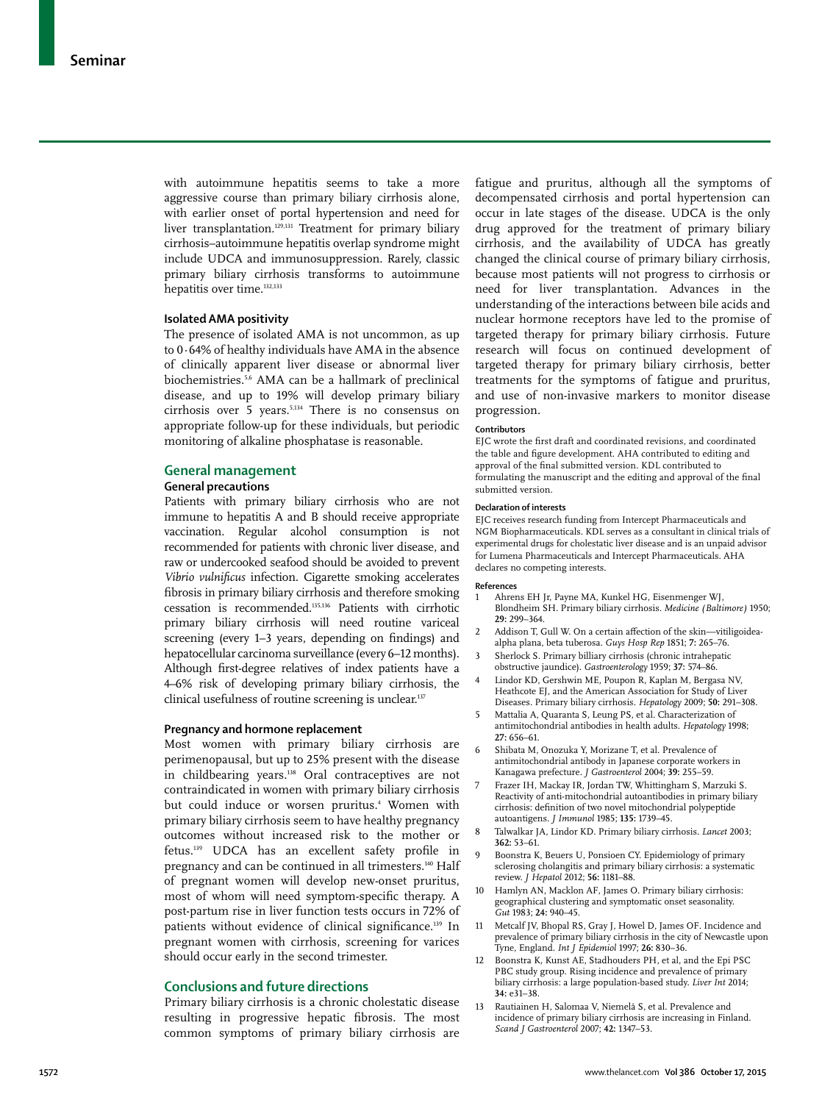with autoimmune hepatitis seems to take a more aggressive course than primary biliary cirrhosis alone, with earlier onset of portal hypertension and need for liver transplantation.<sup>129,131</sup> Treatment for primary biliary cirrhosis–autoimmune hepatitis overlap syndrome might include UDCA and immunosuppression. Rarely, classic primary biliary cirrhosis transforms to autoimmune hepatitis over time.<sup>132,133</sup>

## **Isolated AMA positivity**

The presence of isolated AMA is not uncommon, as up to 0·64% of healthy individuals have AMA in the absence of clinically apparent liver disease or abnormal liver biochemistries.5,6 AMA can be a hallmark of preclinical disease, and up to 19% will develop primary biliary cirrhosis over  $\overline{5}$  years.<sup>5,134</sup> There is no consensus on appropriate follow-up for these individuals, but periodic monitoring of alkaline phosphatase is reasonable.

## **General management**

#### **General precautions**

Patients with primary biliary cirrhosis who are not immune to hepatitis A and B should receive appropriate vaccination. Regular alcohol consumption is not recommended for patients with chronic liver disease, and raw or undercooked seafood should be avoided to prevent *Vibrio vulnifi cus* infection. Cigarette smoking accelerates fibrosis in primary biliary cirrhosis and therefore smoking cessation is recommended.135,136 Patients with cirrhotic primary biliary cirrhosis will need routine variceal screening (every 1–3 years, depending on findings) and hepatocellular carcinoma surveillance (every 6–12 months). Although first-degree relatives of index patients have a 4–6% risk of developing primary biliary cirrhosis, the clinical usefulness of routine screening is unclear.<sup>137</sup>

## **Pregnancy and hormone replacement**

Most women with primary biliary cirrhosis are perimenopausal, but up to 25% present with the disease in childbearing years.<sup>138</sup> Oral contraceptives are not contraindicated in women with primary biliary cirrhosis but could induce or worsen pruritus.4 Women with primary biliary cirrhosis seem to have healthy pregnancy outcomes without increased risk to the mother or fetus.<sup>139</sup> UDCA has an excellent safety profile in pregnancy and can be continued in all trimesters.<sup>140</sup> Half of pregnant women will develop new-onset pruritus, most of whom will need symptom-specific therapy. A post-partum rise in liver function tests occurs in 72% of patients without evidence of clinical significance.<sup>139</sup> In pregnant women with cirrhosis, screening for varices should occur early in the second trimester.

## **Conclusions and future directions**

Primary biliary cirrhosis is a chronic cholestatic disease resulting in progressive hepatic fibrosis. The most common symptoms of primary biliary cirrhosis are fatigue and pruritus, although all the symptoms of decompensated cirrhosis and portal hypertension can occur in late stages of the disease. UDCA is the only drug approved for the treatment of primary biliary cirrhosis, and the availability of UDCA has greatly changed the clinical course of primary biliary cirrhosis, because most patients will not progress to cirrhosis or need for liver transplantation. Advances in the understanding of the interactions between bile acids and nuclear hormone receptors have led to the promise of targeted therapy for primary biliary cirrhosis. Future research will focus on continued development of targeted therapy for primary biliary cirrhosis, better treatments for the symptoms of fatigue and pruritus, and use of non-invasive markers to monitor disease progression.

#### **Contributors**

EJC wrote the first draft and coordinated revisions, and coordinated the table and figure development. AHA contributed to editing and approval of the final submitted version. KDL contributed to formulating the manuscript and the editing and approval of the final submitted version.

#### **Declaration of interests**

EJC receives research funding from Intercept Pharmaceuticals and NGM Biopharmaceuticals. KDL serves as a consultant in clinical trials of experimental drugs for cholestatic liver disease and is an unpaid advisor for Lumena Pharmaceuticals and Intercept Pharmaceuticals. AHA declares no competing interests.

## **References**<br>1 **Ahren**

- 1 Ahrens EH Jr, Payne MA, Kunkel HG, Eisenmenger WJ, Blondheim SH. Primary biliary cirrhosis. *Medicine (Baltimore)* 1950; **29:** 299–364.
- 2 Addison T, Gull W. On a certain affection of the skin-vitiligoideaalpha plana, beta tuberosa. *Guys Hosp Rep* 1851; **7:** 265–76.
- 3 Sherlock S. Primary billiary cirrhosis (chronic intrahepatic obstructive jaundice). *Gastroenterology* 1959; **37:** 574–86.
- 4 Lindor KD, Gershwin ME, Poupon R, Kaplan M, Bergasa NV, Heathcote EJ, and the American Association for Study of Liver Diseases. Primary biliary cirrhosis. *Hepatology* 2009; **50:** 291–308.
- 5 Mattalia A, Quaranta S, Leung PS, et al. Characterization of antimitochondrial antibodies in health adults. *Hepatology* 1998; **27:** 656–61.
- 6 Shibata M, Onozuka Y, Morizane T, et al. Prevalence of antimitochondrial antibody in Japanese corporate workers in Kanagawa prefecture. *J Gastroenterol* 2004; **39:** 255–59.
- Frazer IH, Mackay IR, Jordan TW, Whittingham S, Marzuki S. Reactivity of anti-mitochondrial autoantibodies in primary biliary cirrhosis: definition of two novel mitochondrial polypeptide autoantigens. *J Immunol* 1985; **135:** 1739–45.
- 8 Talwalkar JA, Lindor KD. Primary biliary cirrhosis. *Lancet* 2003; **362:** 53–61.
- 9 Boonstra K, Beuers U, Ponsioen CY. Epidemiology of primary sclerosing cholangitis and primary biliary cirrhosis: a systematic review. *J Hepatol* 2012; **56:** 1181–88.
- 10 Hamlyn AN, Macklon AF, James O. Primary biliary cirrhosis: geographical clustering and symptomatic onset seasonality. *Gut* 1983; **24:** 940–45.
- 11 Metcalf JV, Bhopal RS, Gray J, Howel D, James OF. Incidence and prevalence of primary biliary cirrhosis in the city of Newcastle upon Tyne, England. *Int J Epidemiol* 1997; **26:** 830–36.
- 12 Boonstra K, Kunst AE, Stadhouders PH, et al, and the Epi PSC PBC study group. Rising incidence and prevalence of primary biliary cirrhosis: a large population-based study. *Liver Int* 2014; **34:** e31–38.
- 13 Rautiainen H, Salomaa V, Niemelå S, et al. Prevalence and incidence of primary biliary cirrhosis are increasing in Finland. *Scand J Gastroenterol* 2007; **42:** 1347–53.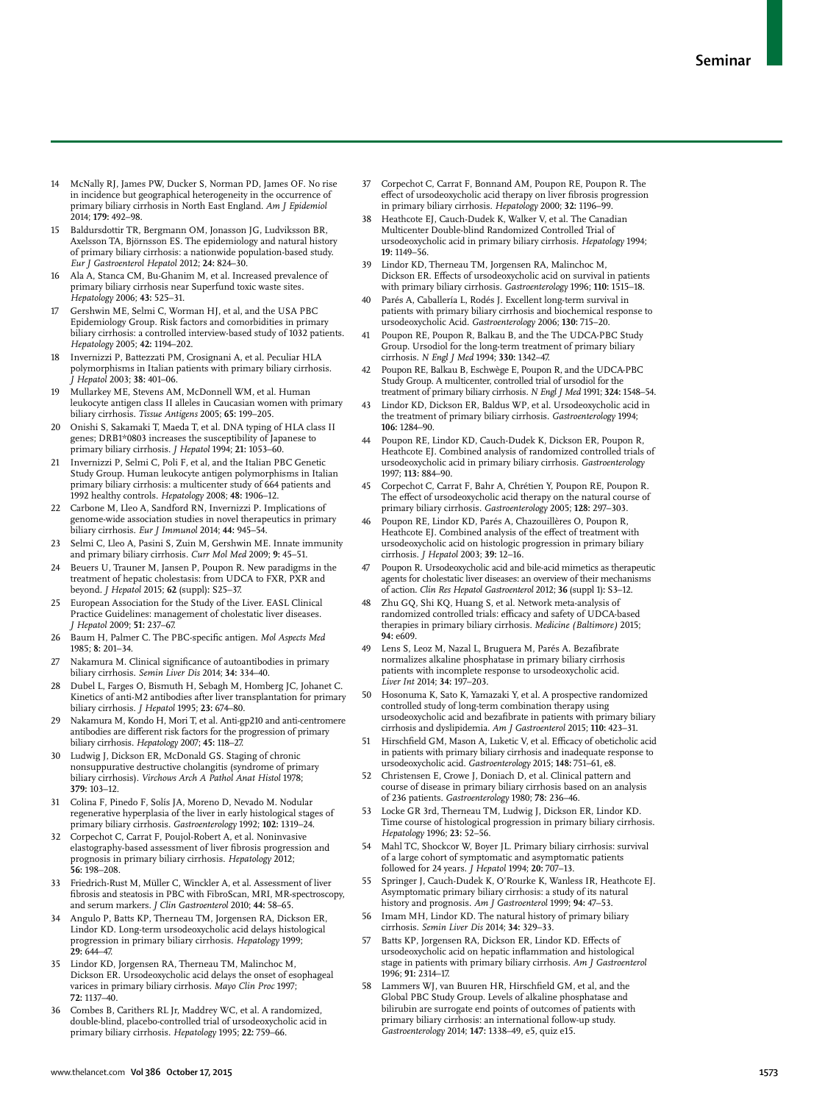- 14 McNally RJ, James PW, Ducker S, Norman PD, James OF. No rise in incidence but geographical heterogeneity in the occurrence of primary biliary cirrhosis in North East England. *Am J Epidemiol* 2014; **179:** 492–98.
- 15 Baldursdottir TR, Bergmann OM, Jonasson JG, Ludviksson BR, Axelsson TA, Björnsson ES. The epidemiology and natural history of primary biliary cirrhosis: a nationwide population-based study. *Eur J Gastroenterol Hepatol* 2012; **24:** 824–30.
- 16 Ala A, Stanca CM, Bu-Ghanim M, et al. Increased prevalence of primary biliary cirrhosis near Superfund toxic waste sites. *Hepatology* 2006; **43:** 525–31.
- 17 Gershwin ME, Selmi C, Worman HJ, et al, and the USA PBC Epidemiology Group. Risk factors and comorbidities in primary biliary cirrhosis: a controlled interview-based study of 1032 patients. *Hepatology* 2005; **42:** 1194–202.
- 18 Invernizzi P, Battezzati PM, Crosignani A, et al. Peculiar HLA polymorphisms in Italian patients with primary biliary cirrhosis. *J Hepatol* 2003; **38:** 401–06.
- 19 Mullarkey ME, Stevens AM, McDonnell WM, et al. Human leukocyte antigen class II alleles in Caucasian women with primary biliary cirrhosis. *Tissue Antigens* 2005; **65:** 199–205.
- 20 Onishi S, Sakamaki T, Maeda T, et al. DNA typing of HLA class II genes; DRB1\*0803 increases the susceptibility of Japanese to primary biliary cirrhosis. *J Hepatol* 1994; **21:** 1053–60.
- 21 Invernizzi P, Selmi C, Poli F, et al, and the Italian PBC Genetic Study Group. Human leukocyte antigen polymorphisms in Italian primary biliary cirrhosis: a multicenter study of 664 patients and 1992 healthy controls. *Hepatology* 2008; **48:** 1906–12.
- 22 Carbone M, Lleo A, Sandford RN, Invernizzi P. Implications of genome-wide association studies in novel therapeutics in primary biliary cirrhosis. *Eur J Immunol* 2014; **44:** 945–54.
- 23 Selmi C, Lleo A, Pasini S, Zuin M, Gershwin ME. Innate immunity and primary biliary cirrhosis. *Curr Mol Med* 2009; **9:** 45–51.
- 24 Beuers U, Trauner M, Jansen P, Poupon R. New paradigms in the treatment of hepatic cholestasis: from UDCA to FXR, PXR and beyond. *J Hepatol* 2015; **62** (suppl)**:** S25–37.
- 25 European Association for the Study of the Liver. EASL Clinical Practice Guidelines: management of cholestatic liver diseases. *J Hepatol* 2009; **51:** 237–67.
- 26 Baum H, Palmer C. The PBC-specific antigen. *Mol Aspects Med* 1985; **8:** 201–34.
- 27 Nakamura M. Clinical significance of autoantibodies in primary biliary cirrhosis. *Semin Liver Dis* 2014; **34:** 334–40.
- 28 Dubel L, Farges O, Bismuth H, Sebagh M, Homberg JC, Johanet C. Kinetics of anti-M2 antibodies after liver transplantation for primary biliary cirrhosis. *J Hepatol* 1995; **23:** 674–80.
- 29 Nakamura M, Kondo H, Mori T, et al. Anti-gp210 and anti-centromere antibodies are different risk factors for the progression of primary biliary cirrhosis. *Hepatology* 2007; **45:** 118–27.
- 30 Ludwig J, Dickson ER, McDonald GS. Staging of chronic nonsuppurative destructive cholangitis (syndrome of primary biliary cirrhosis). *Virchows Arch A Pathol Anat Histol* 1978; **379:** 103–12.
- 31 Colina F, Pinedo F, Solís JA, Moreno D, Nevado M. Nodular regenerative hyperplasia of the liver in early histological stages of primary biliary cirrhosis. *Gastroenterology* 1992; **102:** 1319–24.
- 32 Corpechot C, Carrat F, Poujol-Robert A, et al. Noninvasive elastography-based assessment of liver fibrosis progression and prognosis in primary biliary cirrhosis. *Hepatology* 2012; **56:** 198–208.
- 33 Friedrich-Rust M, Müller C, Winckler A, et al. Assessment of liver fibrosis and steatosis in PBC with FibroScan, MRI, MR-spectroscopy, and serum markers. *J Clin Gastroenterol* 2010; **44:** 58–65.
- Angulo P, Batts KP, Therneau TM, Jorgensen RA, Dickson ER, Lindor KD. Long-term ursodeoxycholic acid delays histological progression in primary biliary cirrhosis. *Hepatology* 1999; **29:** 644–47.
- 35 Lindor KD, Jorgensen RA, Therneau TM, Malinchoc M, Dickson ER. Ursodeoxycholic acid delays the onset of esophageal varices in primary biliary cirrhosis. *Mayo Clin Proc* 1997; **72:** 1137–40.
- Combes B, Carithers RL Jr, Maddrey WC, et al. A randomized, double-blind, placebo-controlled trial of ursodeoxycholic acid in primary biliary cirrhosis. *Hepatology* 1995; **22:** 759–66.
- 37 Corpechot C, Carrat F, Bonnand AM, Poupon RE, Poupon R. The effect of ursodeoxycholic acid therapy on liver fibrosis progression in primary biliary cirrhosis. *Hepatology* 2000; **32:** 1196–99.
- Heathcote EJ, Cauch-Dudek K, Walker V, et al. The Canadian Multicenter Double-blind Randomized Controlled Trial of ursodeoxycholic acid in primary biliary cirrhosis. *Hepatology* 1994; **19:** 1149–56.
- Lindor KD, Therneau TM, Jorgensen RA, Malinchoc M, Dickson ER. Effects of ursodeoxycholic acid on survival in patients with primary biliary cirrhosis. *Gastroenterology* 1996; **110:** 1515–18.
- 40 Parés A, Caballería L, Rodés J. Excellent long-term survival in patients with primary biliary cirrhosis and biochemical response to ursodeoxycholic Acid. *Gastroenterology* 2006; **130:** 715–20.
- Poupon RE, Poupon R, Balkau B, and the The UDCA-PBC Study Group. Ursodiol for the long-term treatment of primary biliary cirrhosis. *N Engl J Med* 1994; **330:** 1342–47.
- 42 Poupon RE, Balkau B, Eschwège E, Poupon R, and the UDCA-PBC Study Group. A multicenter, controlled trial of ursodiol for the treatment of primary biliary cirrhosis. *N Engl J Med* 1991; **324:** 1548–54.
- 43 Lindor KD, Dickson ER, Baldus WP, et al. Ursodeoxycholic acid in the treatment of primary biliary cirrhosis. *Gastroenterology* 1994; **106:** 1284–90.
- Poupon RE, Lindor KD, Cauch-Dudek K, Dickson ER, Poupon R, Heathcote EJ. Combined analysis of randomized controlled trials of ursodeoxycholic acid in primary biliary cirrhosis. *Gastroenterology* 1997; **113:** 884–90.
- 45 Corpechot C, Carrat F, Bahr A, Chrétien Y, Poupon RE, Poupon R. The effect of ursodeoxycholic acid therapy on the natural course of primary biliary cirrhosis. *Gastroenterology* 2005; **128:** 297–303.
- 46 Poupon RE, Lindor KD, Parés A, Chazouillères O, Poupon R, Heathcote EJ. Combined analysis of the effect of treatment with ursodeoxycholic acid on histologic progression in primary biliary cirrhosis. *J Hepatol* 2003; **39:** 12–16.
- Poupon R. Ursodeoxycholic acid and bile-acid mimetics as therapeutic agents for cholestatic liver diseases: an overview of their mechanisms of action. *Clin Res Hepatol Gastroenterol* 2012; **36** (suppl 1)**:** S3–12.
- Zhu GQ, Shi KQ, Huang S, et al. Network meta-analysis of randomized controlled trials: efficacy and safety of UDCA-based therapies in primary biliary cirrhosis. *Medicine (Baltimore)* 2015; **94:** e609.
- 49 Lens S, Leoz M, Nazal L, Bruguera M, Parés A. Bezafibrate normalizes alkaline phosphatase in primary biliary cirrhosis patients with incomplete response to ursodeoxycholic acid. *Liver Int* 2014; **34:** 197–203.
- 50 Hosonuma K, Sato K, Yamazaki Y, et al. A prospective randomized controlled study of long-term combination therapy using ursodeoxycholic acid and bezafibrate in patients with primary biliary cirrhosis and dyslipidemia. *Am J Gastroenterol* 2015; **110:** 423–31.
- 51 Hirschfield GM, Mason A, Luketic V, et al. Efficacy of obeticholic acid in patients with primary biliary cirrhosis and inadequate response to ursodeoxycholic acid. *Gastroenterology* 2015; **148:** 751–61, e8.
- 52 Christensen E, Crowe J, Doniach D, et al. Clinical pattern and course of disease in primary biliary cirrhosis based on an analysis of 236 patients. *Gastroenterology* 1980; **78:** 236–46.
- 53 Locke GR 3rd, Therneau TM, Ludwig J, Dickson ER, Lindor KD. Time course of histological progression in primary biliary cirrhosis. *Hepatology* 1996; **23:** 52–56.
- 54 Mahl TC, Shockcor W, Boyer JL. Primary biliary cirrhosis: survival of a large cohort of symptomatic and asymptomatic patients followed for 24 years. *J Hepatol* 1994; **20:** 707–13.
- 55 Springer J, Cauch-Dudek K, O'Rourke K, Wanless IR, Heathcote EJ. Asymptomatic primary biliary cirrhosis: a study of its natural history and prognosis. *Am J Gastroenterol* 1999; **94:** 47–53.
- 56 Imam MH, Lindor KD. The natural history of primary biliary cirrhosis. *Semin Liver Dis* 2014; **34:** 329–33.
- Batts KP, Jorgensen RA, Dickson ER, Lindor KD. Effects of ursodeoxycholic acid on hepatic inflammation and histological stage in patients with primary biliary cirrhosis. *Am J Gastroenterol* 1996; **91:** 2314–17.
- 58 Lammers WJ, van Buuren HR, Hirschfield GM, et al, and the Global PBC Study Group. Levels of alkaline phosphatase and bilirubin are surrogate end points of outcomes of patients with primary biliary cirrhosis: an international follow-up study. *Gastroenterology* 2014; **147:** 1338–49, e5, quiz e15.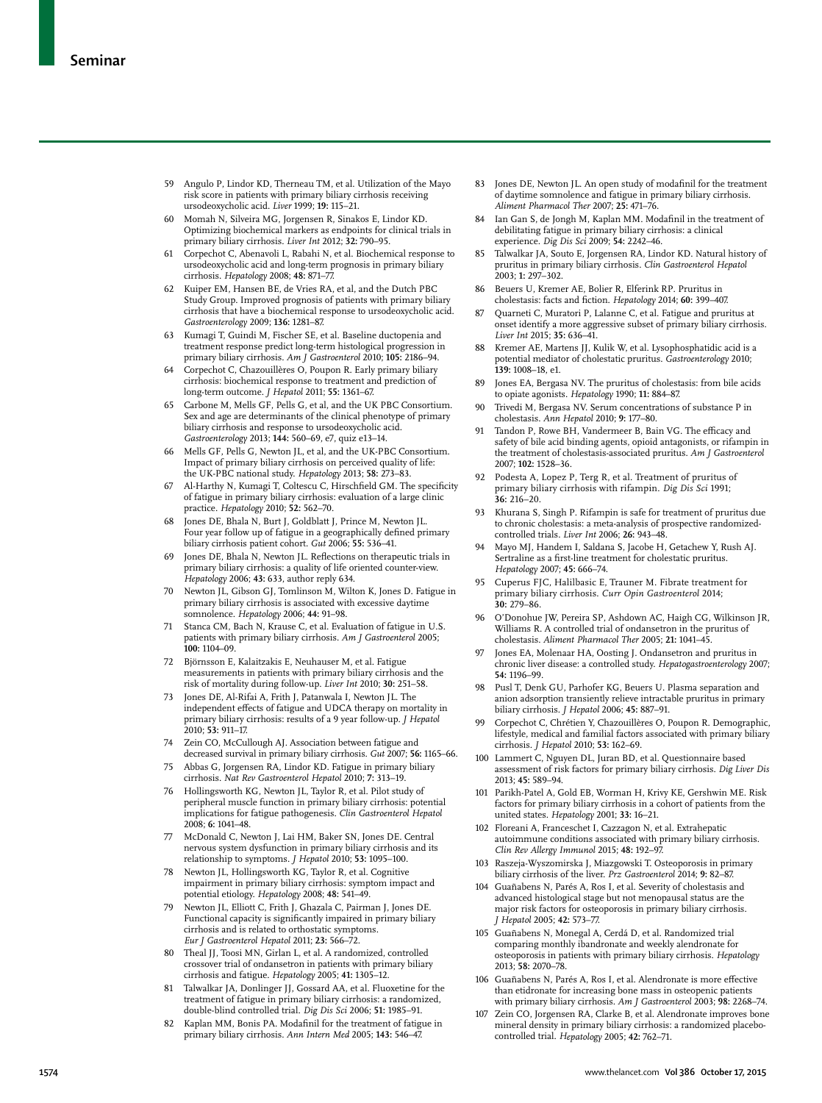- 59 Angulo P, Lindor KD, Therneau TM, et al. Utilization of the Mayo risk score in patients with primary biliary cirrhosis receiving ursodeoxycholic acid. *Liver* 1999; **19:** 115–21.
- 60 Momah N, Silveira MG, Jorgensen R, Sinakos E, Lindor KD. Optimizing biochemical markers as endpoints for clinical trials in primary biliary cirrhosis. *Liver Int* 2012; **32:** 790–95.
- 61 Corpechot C, Abenavoli L, Rabahi N, et al. Biochemical response to ursodeoxycholic acid and long-term prognosis in primary biliary cirrhosis. *Hepatology* 2008; **48:** 871–77.
- 62 Kuiper EM, Hansen BE, de Vries RA, et al, and the Dutch PBC Study Group. Improved prognosis of patients with primary biliary cirrhosis that have a biochemical response to ursodeoxycholic acid. *Gastroenterology* 2009; **136:** 1281–87.
- 63 Kumagi T, Guindi M, Fischer SE, et al. Baseline ductopenia and treatment response predict long-term histological progression in primary biliary cirrhosis. *Am J Gastroenterol* 2010; **105:** 2186–94.
- 64 Corpechot C, Chazouillères O, Poupon R. Early primary biliary cirrhosis: biochemical response to treatment and prediction of long-term outcome. *J Hepatol* 2011; **55:** 1361–67.
- 65 Carbone M, Mells GF, Pells G, et al, and the UK PBC Consortium. Sex and age are determinants of the clinical phenotype of primary biliary cirrhosis and response to ursodeoxycholic acid. *Gastroenterology* 2013; **144:** 560–69, e7, quiz e13–14.
- 66 Mells GF, Pells G, Newton JL, et al, and the UK-PBC Consortium. Impact of primary biliary cirrhosis on perceived quality of life: the UK-PBC national study. *Hepatology* 2013; **58:** 273–83.
- 67 Al-Harthy N, Kumagi T, Coltescu C, Hirschfield GM. The specificity of fatigue in primary biliary cirrhosis: evaluation of a large clinic practice. *Hepatology* 2010; **52:** 562–70.
- Jones DE, Bhala N, Burt J, Goldblatt J, Prince M, Newton JL. Four year follow up of fatigue in a geographically defined primary biliary cirrhosis patient cohort. *Gut* 2006; **55:** 536–41.
- 69 Jones DE, Bhala N, Newton JL. Reflections on therapeutic trials in primary biliary cirrhosis: a quality of life oriented counter-view. *Hepatology* 2006; **43:** 633, author reply 634.
- Newton JL, Gibson GJ, Tomlinson M, Wilton K, Jones D. Fatigue in primary biliary cirrhosis is associated with excessive daytime somnolence. *Hepatology* 2006; **44:** 91–98.
- 71 Stanca CM, Bach N, Krause C, et al. Evaluation of fatigue in U.S. patients with primary biliary cirrhosis. *Am J Gastroenterol* 2005; **100:** 1104–09.
- 72 Björnsson E, Kalaitzakis E, Neuhauser M, et al. Fatigue measurements in patients with primary biliary cirrhosis and the risk of mortality during follow-up. *Liver Int* 2010; **30:** 251–58.
- 73 Jones DE, Al-Rifai A, Frith J, Patanwala I, Newton JL. The independent effects of fatigue and UDCA therapy on mortality in primary biliary cirrhosis: results of a 9 year follow-up. *J Hepatol* 2010; **53:** 911–17.
- 74 Zein CO, McCullough AJ. Association between fatigue and decreased survival in primary biliary cirrhosis. *Gut* 2007; **56:** 1165–66.
- 75 Abbas G, Jorgensen RA, Lindor KD. Fatigue in primary biliary cirrhosis. *Nat Rev Gastroenterol Hepatol* 2010; **7:** 313–19.
- 76 Hollingsworth KG, Newton JL, Taylor R, et al. Pilot study of peripheral muscle function in primary biliary cirrhosis: potential implications for fatigue pathogenesis. *Clin Gastroenterol Hepatol* 2008; **6:** 1041–48.
- 77 McDonald C, Newton J, Lai HM, Baker SN, Jones DE. Central nervous system dysfunction in primary biliary cirrhosis and its relationship to symptoms. *J Hepatol* 2010; **53:** 1095–100.
- 78 Newton JL, Hollingsworth KG, Taylor R, et al. Cognitive impairment in primary biliary cirrhosis: symptom impact and potential etiology. *Hepatology* 2008; **48:** 541–49.
- 79 Newton JL, Elliott C, Frith J, Ghazala C, Pairman J, Jones DE. Functional capacity is significantly impaired in primary biliary cirrhosis and is related to orthostatic symptoms. *Eur J Gastroenterol Hepatol* 2011; **23:** 566–72.
- 80 Theal JJ, Toosi MN, Girlan L, et al. A randomized, controlled crossover trial of ondansetron in patients with primary biliary cirrhosis and fatigue. *Hepatology* 2005; **41:** 1305–12.
- 81 Talwalkar JA, Donlinger JJ, Gossard AA, et al. Fluoxetine for the treatment of fatigue in primary biliary cirrhosis: a randomized, double-blind controlled trial. *Dig Dis Sci* 2006; **51:** 1985–91.
- 82 Kaplan MM, Bonis PA, Modafinil for the treatment of fatigue in primary biliary cirrhosis. *Ann Intern Med* 2005; **143:** 546–47.
- 83 Jones DE, Newton JL. An open study of modafinil for the treatment of daytime somnolence and fatigue in primary biliary cirrhosis. *Aliment Pharmacol Ther* 2007; **25:** 471–76.
- Ian Gan S, de Jongh M, Kaplan MM. Modafinil in the treatment of debilitating fatigue in primary biliary cirrhosis: a clinical experience. *Dig Dis Sci* 2009; **54:** 2242–46.
- 85 Talwalkar JA, Souto E, Jorgensen RA, Lindor KD. Natural history of pruritus in primary biliary cirrhosis. *Clin Gastroenterol Hepatol* 2003; **1:** 297–302.
- 86 Beuers U, Kremer AE, Bolier R, Elferink RP. Pruritus in cholestasis: facts and fiction. *Hepatology* 2014; 60: 399-407.
- 87 Quarneti C, Muratori P, Lalanne C, et al. Fatigue and pruritus at onset identify a more aggressive subset of primary biliary cirrhosis. *Liver Int* 2015; **35:** 636–41.
- Kremer AE, Martens JJ, Kulik W, et al. Lysophosphatidic acid is a potential mediator of cholestatic pruritus. *Gastroenterology* 2010; **139:** 1008–18, e1.
- 89 Jones EA, Bergasa NV. The pruritus of cholestasis: from bile acids to opiate agonists. *Hepatology* 1990; **11:** 884–87.
- Trivedi M, Bergasa NV. Serum concentrations of substance P in cholestasis. *Ann Hepatol* 2010; **9:** 177–80.
- 91 Tandon P, Rowe BH, Vandermeer B, Bain VG. The efficacy and safety of bile acid binding agents, opioid antagonists, or rifampin in the treatment of cholestasis-associated pruritus. *Am J Gastroenterol* 2007; **102:** 1528–36.
- Podesta A, Lopez P, Terg R, et al. Treatment of pruritus of primary biliary cirrhosis with rifampin. *Dig Dis Sci* 1991; **36:** 216–20.
- 93 Khurana S, Singh P. Rifampin is safe for treatment of pruritus due to chronic cholestasis: a meta-analysis of prospective randomizedcontrolled trials. *Liver Int* 2006; **26:** 943–48.
- Mayo MJ, Handem I, Saldana S, Jacobe H, Getachew Y, Rush AJ. Sertraline as a first-line treatment for cholestatic pruritus. *Hepatology* 2007; **45:** 666–74.
- 95 Cuperus FJC, Halilbasic E, Trauner M. Fibrate treatment for primary biliary cirrhosis. *Curr Opin Gastroenterol* 2014; **30:** 279–86.
- 96 O'Donohue JW, Pereira SP, Ashdown AC, Haigh CG, Wilkinson JR, Williams R. A controlled trial of ondansetron in the pruritus of cholestasis. *Aliment Pharmacol Ther* 2005; 21: 1041-4.
- Jones EA, Molenaar HA, Oosting J. Ondansetron and pruritus in chronic liver disease: a controlled study. *Hepatogastroenterology* 2007; **54:** 1196–99.
- Pusl T, Denk GU, Parhofer KG, Beuers U. Plasma separation and anion adsorption transiently relieve intractable pruritus in primary biliary cirrhosis. *J Hepatol* 2006; **45:** 887–91.
- 99 Corpechot C, Chrétien Y, Chazouillères O, Poupon R. Demographic, lifestyle, medical and familial factors associated with primary biliary cirrhosis. *J Hepatol* 2010; **53:** 162–69.
- 100 Lammert C, Nguyen DL, Juran BD, et al. Questionnaire based assessment of risk factors for primary biliary cirrhosis. *Dig Liver Dis* 2013; **45:** 589–94.
- Parikh-Patel A, Gold EB, Worman H, Krivy KE, Gershwin ME. Risk factors for primary biliary cirrhosis in a cohort of patients from the united states. *Hepatology* 2001; **33:** 16–21.
- 102 Floreani A, Franceschet I, Cazzagon N, et al. Extrahepatic autoimmune conditions associated with primary biliary cirrhosis. *Clin Rev Allergy Immunol* 2015; **48:** 192–97.
- 103 Raszeja-Wyszomirska J, Miazgowski T. Osteoporosis in primary biliary cirrhosis of the liver. *Prz Gastroenterol* 2014; **9:** 82–87.
- 104 Guañabens N, Parés A, Ros I, et al. Severity of cholestasis and advanced histological stage but not menopausal status are the major risk factors for osteoporosis in primary biliary cirrhosis. *J Hepatol* 2005; **42:** 573–77.
- 105 Guañabens N, Monegal A, Cerdá D, et al. Randomized trial comparing monthly ibandronate and weekly alendronate for osteoporosis in patients with primary biliary cirrhosis. *Hepatology* 2013; **58:** 2070–78.
- Guañabens N, Parés A, Ros I, et al. Alendronate is more effective than etidronate for increasing bone mass in osteopenic patients with primary biliary cirrhosis. *Am J Gastroenterol* 2003; **98:** 2268–74.
- 107 Zein CO, Jorgensen RA, Clarke B, et al. Alendronate improves bone mineral density in primary biliary cirrhosis: a randomized placebocontrolled trial. *Hepatology* 2005; **42:** 762–71.